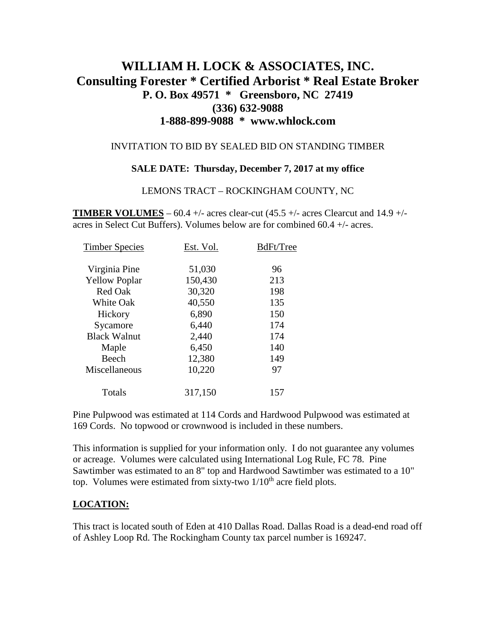# **WILLIAM H. LOCK & ASSOCIATES, INC. Consulting Forester \* Certified Arborist \* Real Estate Broker P. O. Box 49571 \* Greensboro, NC 27419 (336) 632-9088 1-888-899-9088 \* www.whlock.com**

### INVITATION TO BID BY SEALED BID ON STANDING TIMBER

#### **SALE DATE: Thursday, December 7, 2017 at my office**

#### LEMONS TRACT – ROCKINGHAM COUNTY, NC

**TIMBER VOLUMES** – 60.4 +/- acres clear-cut  $(45.5 +/-$  acres Clearcut and  $14.9 +/$ acres in Select Cut Buffers). Volumes below are for combined 60.4 +/- acres.

| <b>Timber Species</b> | Est. Vol. | BdFt/Tree |
|-----------------------|-----------|-----------|
| Virginia Pine         | 51,030    | 96        |
| <b>Yellow Poplar</b>  | 150,430   | 213       |
| Red Oak               | 30,320    | 198       |
| <b>White Oak</b>      | 40,550    | 135       |
| Hickory               | 6,890     | 150       |
| Sycamore              | 6,440     | 174       |
| <b>Black Walnut</b>   | 2,440     | 174       |
| Maple                 | 6,450     | 140       |
| Beech                 | 12,380    | 149       |
| Miscellaneous         | 10,220    | 97        |
| Totals                | 317,150   | 157       |

Pine Pulpwood was estimated at 114 Cords and Hardwood Pulpwood was estimated at 169 Cords. No topwood or crownwood is included in these numbers.

This information is supplied for your information only. I do not guarantee any volumes or acreage. Volumes were calculated using International Log Rule, FC 78. Pine Sawtimber was estimated to an 8" top and Hardwood Sawtimber was estimated to a 10" top. Volumes were estimated from sixty-two  $1/10^{th}$  acre field plots.

### **LOCATION:**

This tract is located south of Eden at 410 Dallas Road. Dallas Road is a dead-end road off of Ashley Loop Rd. The Rockingham County tax parcel number is 169247.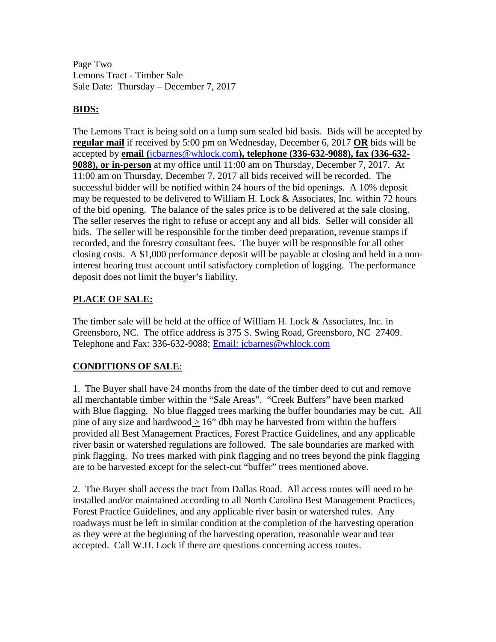Page Two Lemons Tract - Timber Sale Sale Date: Thursday – December 7, 2017

### **BIDS:**

The Lemons Tract is being sold on a lump sum sealed bid basis. Bids will be accepted by **regular mail** if received by 5:00 pm on Wednesday, December 6, 2017 **OR** bids will be accepted by **email (**[jcbarnes@whlock.com](mailto:jcbarnes@whlock.com)**), telephone (336-632-9088), fax (336-632- 9088), or in-person** at my office until 11:00 am on Thursday, December 7, 2017. At 11:00 am on Thursday, December 7, 2017 all bids received will be recorded. The successful bidder will be notified within 24 hours of the bid openings. A 10% deposit may be requested to be delivered to William H. Lock  $\&$  Associates, Inc. within 72 hours of the bid opening. The balance of the sales price is to be delivered at the sale closing. The seller reserves the right to refuse or accept any and all bids. Seller will consider all bids. The seller will be responsible for the timber deed preparation, revenue stamps if recorded, and the forestry consultant fees. The buyer will be responsible for all other closing costs. A \$1,000 performance deposit will be payable at closing and held in a noninterest bearing trust account until satisfactory completion of logging. The performance deposit does not limit the buyer's liability.

## **PLACE OF SALE:**

The timber sale will be held at the office of William H. Lock & Associates, Inc. in Greensboro, NC. The office address is 375 S. Swing Road, Greensboro, NC 27409. Telephone and Fax: 336-632-9088; [Email: jcbarnes@whlock.com](mailto:Email:%20jcbarnes@whlock.com) 

# **CONDITIONS OF SALE**:

1. The Buyer shall have 24 months from the date of the timber deed to cut and remove all merchantable timber within the "Sale Areas". "Creek Buffers" have been marked with Blue flagging. No blue flagged trees marking the buffer boundaries may be cut. All pine of any size and hardwood  $> 16$ " dbh may be harvested from within the buffers provided all Best Management Practices, Forest Practice Guidelines, and any applicable river basin or watershed regulations are followed. The sale boundaries are marked with pink flagging. No trees marked with pink flagging and no trees beyond the pink flagging are to be harvested except for the select-cut "buffer" trees mentioned above.

2. The Buyer shall access the tract from Dallas Road. All access routes will need to be installed and/or maintained according to all North Carolina Best Management Practices, Forest Practice Guidelines, and any applicable river basin or watershed rules. Any roadways must be left in similar condition at the completion of the harvesting operation as they were at the beginning of the harvesting operation, reasonable wear and tear accepted. Call W.H. Lock if there are questions concerning access routes.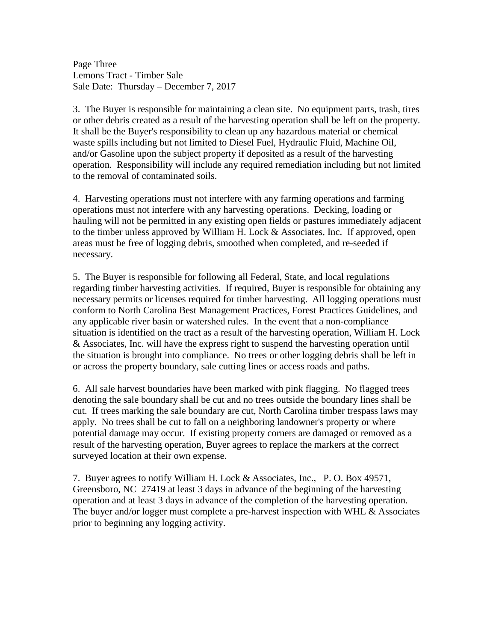Page Three Lemons Tract - Timber Sale Sale Date: Thursday – December 7, 2017

3. The Buyer is responsible for maintaining a clean site. No equipment parts, trash, tires or other debris created as a result of the harvesting operation shall be left on the property. It shall be the Buyer's responsibility to clean up any hazardous material or chemical waste spills including but not limited to Diesel Fuel, Hydraulic Fluid, Machine Oil, and/or Gasoline upon the subject property if deposited as a result of the harvesting operation. Responsibility will include any required remediation including but not limited to the removal of contaminated soils.

4. Harvesting operations must not interfere with any farming operations and farming operations must not interfere with any harvesting operations. Decking, loading or hauling will not be permitted in any existing open fields or pastures immediately adjacent to the timber unless approved by William H. Lock & Associates, Inc. If approved, open areas must be free of logging debris, smoothed when completed, and re-seeded if necessary.

5. The Buyer is responsible for following all Federal, State, and local regulations regarding timber harvesting activities. If required, Buyer is responsible for obtaining any necessary permits or licenses required for timber harvesting. All logging operations must conform to North Carolina Best Management Practices, Forest Practices Guidelines, and any applicable river basin or watershed rules. In the event that a non-compliance situation is identified on the tract as a result of the harvesting operation, William H. Lock & Associates, Inc. will have the express right to suspend the harvesting operation until the situation is brought into compliance. No trees or other logging debris shall be left in or across the property boundary, sale cutting lines or access roads and paths.

6. All sale harvest boundaries have been marked with pink flagging. No flagged trees denoting the sale boundary shall be cut and no trees outside the boundary lines shall be cut. If trees marking the sale boundary are cut, North Carolina timber trespass laws may apply. No trees shall be cut to fall on a neighboring landowner's property or where potential damage may occur. If existing property corners are damaged or removed as a result of the harvesting operation, Buyer agrees to replace the markers at the correct surveyed location at their own expense.

7. Buyer agrees to notify William H. Lock & Associates, Inc., P. O. Box 49571, Greensboro, NC 27419 at least 3 days in advance of the beginning of the harvesting operation and at least 3 days in advance of the completion of the harvesting operation. The buyer and/or logger must complete a pre-harvest inspection with WHL  $\&$  Associates prior to beginning any logging activity.